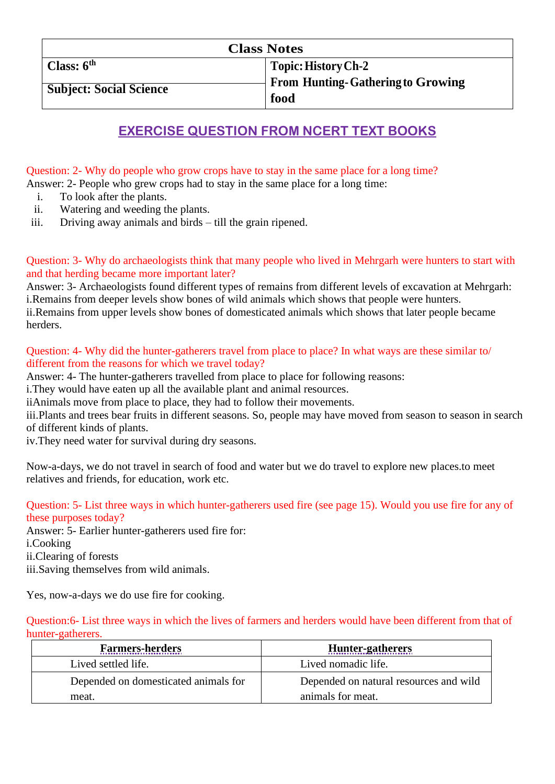## **EXERCISE QUESTION FROM NCERT TEXT BOOKS**

Question: 2- Why do people who grow crops have to stay in the same place for a long time?

Answer: 2- People who grew crops had to stay in the same place for a long time:

- i. To look after the plants.
- ii. Watering and weeding the plants.
- iii. Driving away animals and birds till the grain ripened.

Question: 3- Why do archaeologists think that many people who lived in Mehrgarh were hunters to start with and that herding became more important later?

Answer: 3- Archaeologists found different types of remains from different levels of excavation at Mehrgarh: i.Remains from deeper levels show bones of wild animals which shows that people were hunters. ii.Remains from upper levels show bones of domesticated animals which shows that later people became herders.

#### Question: 4- Why did the hunter-gatherers travel from place to place? In what ways are these similar to/ different from the reasons for which we travel today?

Answer: 4- The hunter-gatherers travelled from place to place for following reasons:

i.They would have eaten up all the available plant and animal resources.

iiAnimals move from place to place, they had to follow their movements.

iii.Plants and trees bear fruits in different seasons. So, people may have moved from season to season in search of different kinds of plants.

iv.They need water for survival during dry seasons.

Now-a-days, we do not travel in search of food and water but we do travel to explore new places.to meet relatives and friends, for education, work etc.

Question: 5- List three ways in which hunter-gatherers used fire (see page 15). Would you use fire for any of these purposes today?

Answer: 5- Earlier hunter-gatherers used fire for: i.Cooking ii.Clearing of forests iii.Saving themselves from wild animals.

Yes, now-a-days we do use fire for cooking.

Question:6- List three ways in which the lives of farmers and herders would have been different from that of hunter-gatherers.

| <b>Farmers-herders</b>               | <b>Hunter-gatherers</b>                |
|--------------------------------------|----------------------------------------|
| Lived settled life.                  | Lived nomadic life.                    |
| Depended on domesticated animals for | Depended on natural resources and wild |
| meat.                                | animals for meat.                      |